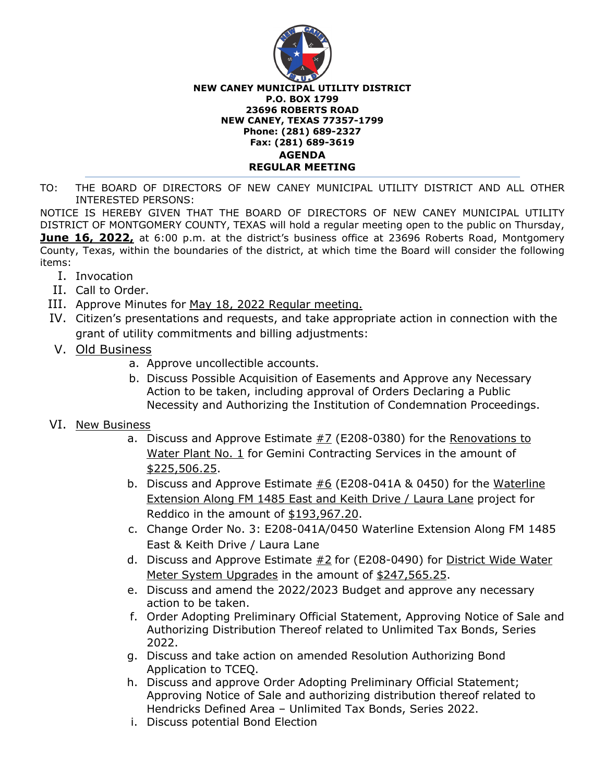

## **NEW CANEY MUNICIPAL UTILITY DISTRICT P.O. BOX 1799 23696 ROBERTS ROAD NEW CANEY, TEXAS 77357-1799 Phone: (281) 689-2327 Fax: (281) 689-3619 AGENDA REGULAR MEETING**

TO: THE BOARD OF DIRECTORS OF NEW CANEY MUNICIPAL UTILITY DISTRICT AND ALL OTHER INTERESTED PERSONS:

NOTICE IS HEREBY GIVEN THAT THE BOARD OF DIRECTORS OF NEW CANEY MUNICIPAL UTILITY DISTRICT OF MONTGOMERY COUNTY, TEXAS will hold a regular meeting open to the public on Thursday, **June 16, 2022,** at 6:00 p.m. at the district's business office at 23696 Roberts Road, Montgomery County, Texas, within the boundaries of the district, at which time the Board will consider the following items:

- I. Invocation
- II. Call to Order.
- III. Approve Minutes for May 18, 2022 Regular meeting.
- IV. Citizen's presentations and requests, and take appropriate action in connection with the grant of utility commitments and billing adjustments:
- V. Old Business
	- a. Approve uncollectible accounts.
	- b. Discuss Possible Acquisition of Easements and Approve any Necessary Action to be taken, including approval of Orders Declaring a Public Necessity and Authorizing the Institution of Condemnation Proceedings.

## VI. New Business

- a. Discuss and Approve Estimate  $#7$  (E208-0380) for the Renovations to Water Plant No. 1 for Gemini Contracting Services in the amount of \$225,506.25.
- b. Discuss and Approve Estimate  $#6$  (E208-041A & 0450) for the Waterline Extension Along FM 1485 East and Keith Drive / Laura Lane project for Reddico in the amount of \$193,967.20.
- c. Change Order No. 3: E208-041A/0450 Waterline Extension Along FM 1485 East & Keith Drive / Laura Lane
- d. Discuss and Approve Estimate #2 for (E208-0490) for District Wide Water Meter System Upgrades in the amount of \$247,565.25.
- e. Discuss and amend the 2022/2023 Budget and approve any necessary action to be taken.
- f. Order Adopting Preliminary Official Statement, Approving Notice of Sale and Authorizing Distribution Thereof related to Unlimited Tax Bonds, Series 2022.
- g. Discuss and take action on amended Resolution Authorizing Bond Application to TCEQ.
- h. Discuss and approve Order Adopting Preliminary Official Statement; Approving Notice of Sale and authorizing distribution thereof related to Hendricks Defined Area – Unlimited Tax Bonds, Series 2022.
- i. Discuss potential Bond Election